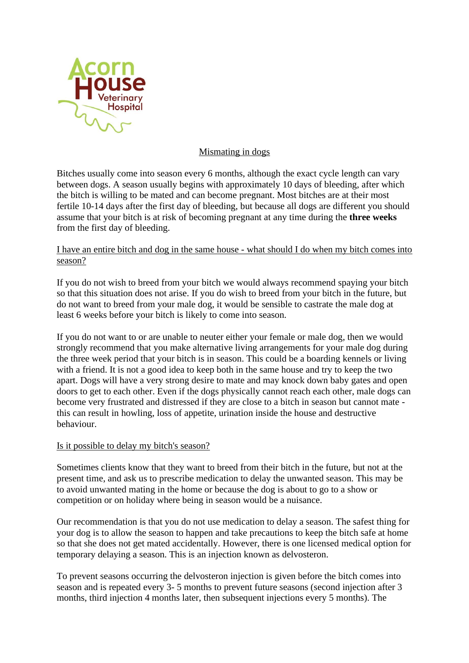

## Mismating in dogs

Bitches usually come into season every 6 months, although the exact cycle length can vary between dogs. A season usually begins with approximately 10 days of bleeding, after which the bitch is willing to be mated and can become pregnant. Most bitches are at their most fertile 10-14 days after the first day of bleeding, but because all dogs are different you should assume that your bitch is at risk of becoming pregnant at any time during the **three weeks**  from the first day of bleeding.

## I have an entire bitch and dog in the same house - what should I do when my bitch comes into season?

If you do not wish to breed from your bitch we would always recommend spaying your bitch so that this situation does not arise. If you do wish to breed from your bitch in the future, but do not want to breed from your male dog, it would be sensible to castrate the male dog at least 6 weeks before your bitch is likely to come into season.

If you do not want to or are unable to neuter either your female or male dog, then we would strongly recommend that you make alternative living arrangements for your male dog during the three week period that your bitch is in season. This could be a boarding kennels or living with a friend. It is not a good idea to keep both in the same house and try to keep the two apart. Dogs will have a very strong desire to mate and may knock down baby gates and open doors to get to each other. Even if the dogs physically cannot reach each other, male dogs can become very frustrated and distressed if they are close to a bitch in season but cannot mate this can result in howling, loss of appetite, urination inside the house and destructive behaviour.

## Is it possible to delay my bitch's season?

Sometimes clients know that they want to breed from their bitch in the future, but not at the present time, and ask us to prescribe medication to delay the unwanted season. This may be to avoid unwanted mating in the home or because the dog is about to go to a show or competition or on holiday where being in season would be a nuisance.

Our recommendation is that you do not use medication to delay a season. The safest thing for your dog is to allow the season to happen and take precautions to keep the bitch safe at home so that she does not get mated accidentally. However, there is one licensed medical option for temporary delaying a season. This is an injection known as delvosteron.

To prevent seasons occurring the delvosteron injection is given before the bitch comes into season and is repeated every 3- 5 months to prevent future seasons (second injection after 3 months, third injection 4 months later, then subsequent injections every 5 months). The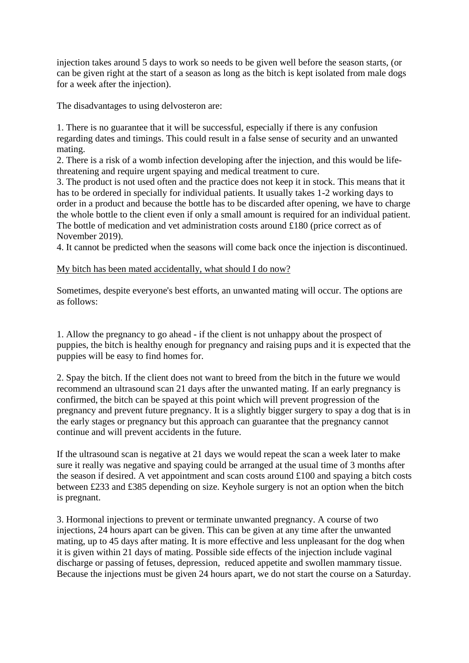injection takes around 5 days to work so needs to be given well before the season starts, (or can be given right at the start of a season as long as the bitch is kept isolated from male dogs for a week after the injection).

The disadvantages to using delvosteron are:

1. There is no guarantee that it will be successful, especially if there is any confusion regarding dates and timings. This could result in a false sense of security and an unwanted mating.

2. There is a risk of a womb infection developing after the injection, and this would be lifethreatening and require urgent spaying and medical treatment to cure.

3. The product is not used often and the practice does not keep it in stock. This means that it has to be ordered in specially for individual patients. It usually takes 1-2 working days to order in a product and because the bottle has to be discarded after opening, we have to charge the whole bottle to the client even if only a small amount is required for an individual patient. The bottle of medication and vet administration costs around £180 (price correct as of November 2019).

4. It cannot be predicted when the seasons will come back once the injection is discontinued.

## My bitch has been mated accidentally, what should I do now?

Sometimes, despite everyone's best efforts, an unwanted mating will occur. The options are as follows:

1. Allow the pregnancy to go ahead - if the client is not unhappy about the prospect of puppies, the bitch is healthy enough for pregnancy and raising pups and it is expected that the puppies will be easy to find homes for.

2. Spay the bitch. If the client does not want to breed from the bitch in the future we would recommend an ultrasound scan 21 days after the unwanted mating. If an early pregnancy is confirmed, the bitch can be spayed at this point which will prevent progression of the pregnancy and prevent future pregnancy. It is a slightly bigger surgery to spay a dog that is in the early stages or pregnancy but this approach can guarantee that the pregnancy cannot continue and will prevent accidents in the future.

If the ultrasound scan is negative at 21 days we would repeat the scan a week later to make sure it really was negative and spaying could be arranged at the usual time of 3 months after the season if desired. A vet appointment and scan costs around £100 and spaying a bitch costs between £233 and £385 depending on size. Keyhole surgery is not an option when the bitch is pregnant.

3. Hormonal injections to prevent or terminate unwanted pregnancy. A course of two injections, 24 hours apart can be given. This can be given at any time after the unwanted mating, up to 45 days after mating. It is more effective and less unpleasant for the dog when it is given within 21 days of mating. Possible side effects of the injection include vaginal discharge or passing of fetuses, depression, reduced appetite and swollen mammary tissue. Because the injections must be given 24 hours apart, we do not start the course on a Saturday.